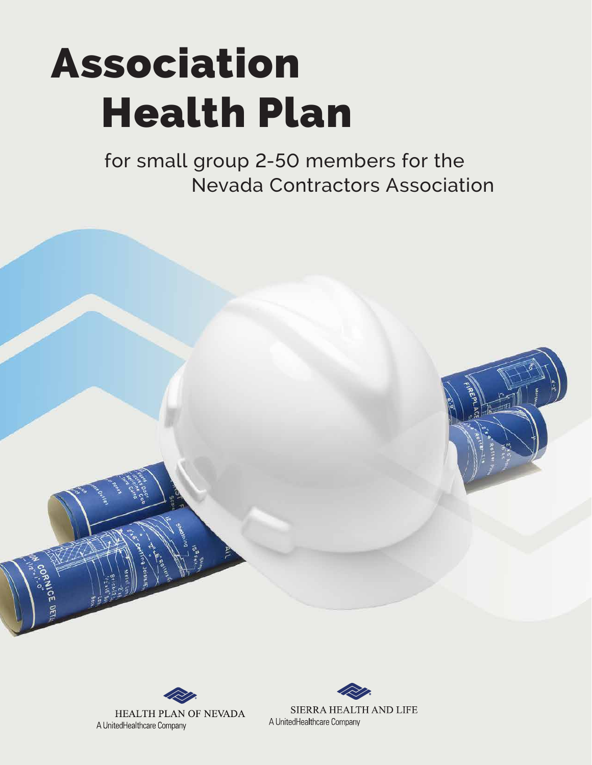# Association Health Plan

for small group 2-50 members for the Nevada Contractors Association





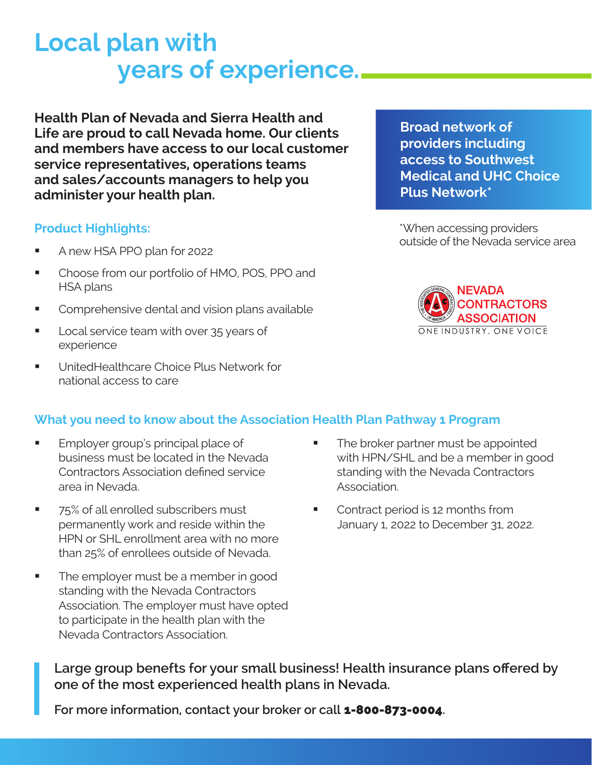## **Local plan with years of experience.**

**Health Plan of Nevada and Sierra Health and Life are proud to call Nevada home. Our clients and members have access to our local customer service representatives, operations teams and sales/accounts managers to help you administer your health plan.**

#### **Product Highlights:**

- A new HSA PPO plan for 2022
- Choose from our portfolio of HMO, POS, PPO and HSA plans
- Comprehensive dental and vision plans available
- Local service team with over 35 years of experience
- **UnitedHealthcare Choice Plus Network for** national access to care

**Broad network of providers including access to Southwest Medical and UHC Choice Plus Network\***

\*When accessing providers outside of the Nevada service area



#### **What you need to know about the Association Health Plan Pathway 1 Program**

- Employer group's principal place of business must be located in the Nevada Contractors Association defined service area in Nevada.
- 75% of all enrolled subscribers must permanently work and reside within the HPN or SHL enrollment area with no more than 25% of enrollees outside of Nevada.
- The employer must be a member in good standing with the Nevada Contractors Association. The employer must have opted to participate in the health plan with the Nevada Contractors Association.
- The broker partner must be appointed with HPN/SHL and be a member in good standing with the Nevada Contractors Association.
- Contract period is 12 months from January 1, 2022 to December 31, 2022.

**Large group benefts for your small business! Health insurance plans offered by one of the most experienced health plans in Nevada.** 

For more information, contact your broker or call **1-800-873-0004**.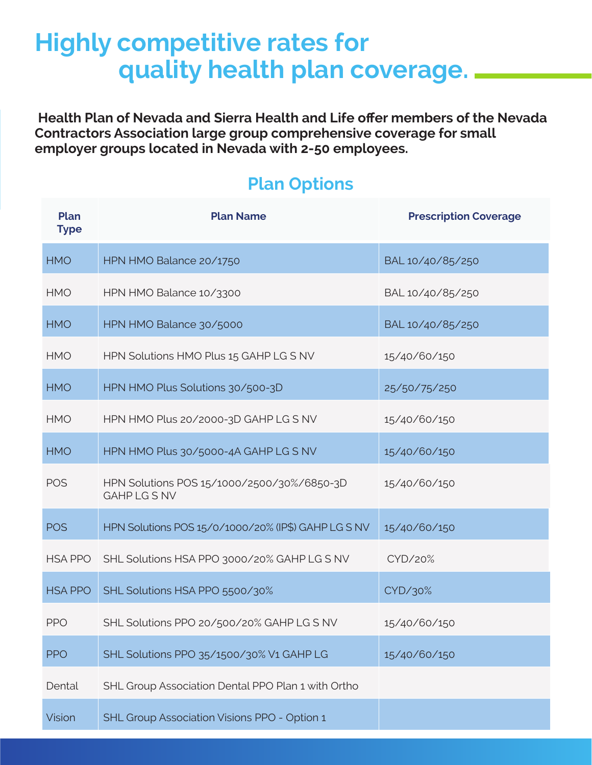### **Highly competitive rates for quality health plan coverage.**

 **Health Plan of Nevada and Sierra Health and Life offer members of the Nevada Contractors Association large group comprehensive coverage for small employer groups located in Nevada with 2-50 employees.**

### **Plan Type Plan Name Prescription Coverage** HMO HPN HMO Balance 20/1750 BAL 10/40/85/250 HMO HPN HMO Balance 10/3300 BAL 10/40/85/250 HMO HPN HMO Balance 30/5000 BAL 10/40/85/250 HMO HPN Solutions HMO Plus 15 GAHP LG S NV 15/40/60/150 HMO HPN HMO Plus Solutions 30/500-3D 25/50/75/250 HMO HPN HMO Plus 20/2000-3D GAHP LG S NV 15/40/60/150 HMO HPN HMO Plus 30/5000-4A GAHP LG S NV 15/40/60/150 POS HPN Solutions POS 15/1000/2500/30%/6850-3D GAHP LG S NV 15/40/60/150 POS HPN Solutions POS 15/0/1000/20% (IP\$) GAHP LG S NV 15/40/60/150 HSA PPO SHL Solutions HSA PPO 3000/20% GAHP LG S NV CYD/20% HSA PPO SHL Solutions HSA PPO 5500/30% PPO SHL Solutions PPO 20/500/20% GAHP LG S NV 15/40/60/150 PPO SHL Solutions PPO 35/1500/30% V1 GAHP LG 15/40/60/150 Dental SHL Group Association Dental PPO Plan 1 with Ortho

### **Plan Options**

Vision SHL Group Association Visions PPO - Option 1